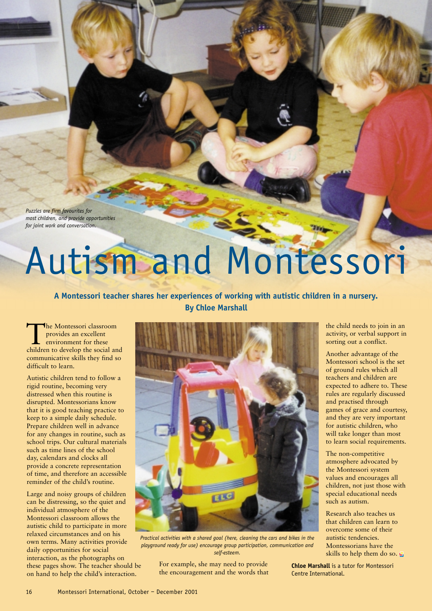*Puzzles are firm favourites for most children, and provide opportunities for joint work and conversation.*

## Autism and Montessori

## **A Montessori teacher shares her experiences of working with autistic children in a nursery. By Chloe Marshall**

The Montessori classroom provides an excellent environment for these children to develop the social and communicative skills they find so difficult to learn.

Autistic children tend to follow a rigid routine, becoming very distressed when this routine is disrupted. Montessorians know that it is good teaching practice to keep to a simple daily schedule. Prepare children well in advance for any changes in routine, such as school trips. Our cultural materials such as time lines of the school day, calendars and clocks all provide a concrete representation of time, and therefore an accessible reminder of the child's routine.

Large and noisy groups of children can be distressing, so the quiet and individual atmosphere of the Montessori classroom allows the autistic child to participate in more relaxed circumstances and on his own terms. Many activities provide daily opportunities for social interaction, as the photographs on these pages show. The teacher should be on hand to help the child's interaction.



*Practical activities with a shared goal (here, cleaning the cars and bikes in the playground ready for use) encourage group participation, communication and self-esteem.*

For example, she may need to provide the encouragement and the words that

the child needs to join in an activity, or verbal support in sorting out a conflict.

Another advantage of the Montessori school is the set of ground rules which all teachers and children are expected to adhere to. These rules are regularly discussed and practised through games of grace and courtesy, and they are very important for autistic children, who will take longer than most to learn social requirements.

The non-competitive atmosphere advocated by the Montessori system values and encourages all children, not just those with special educational needs such as autism.

Research also teaches us that children can learn to overcome some of their autistic tendencies. Montessorians have the skills to help them do so.

**Chloe Marshall** is a tutor for Montessori Centre International.